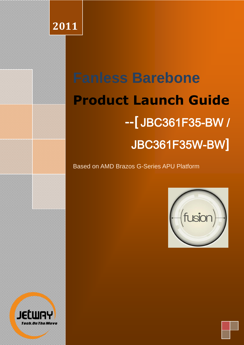## **2011**

# **Fanless Barebone Product Launch Guide --[** JBC361F35-BW / JBC361F35W-BW**]**

Based on AMD Brazos G-Series APU Platform



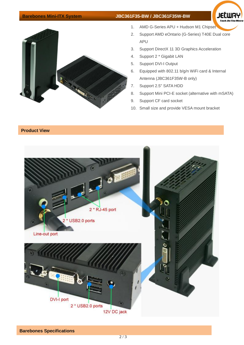### **Barebones Mini-ITX System JBC361F35-BW / JBC361F35W-BW**





- 1. AMD G-Series APU + Hudson M1 Chipset
- 2. Support AMD eOntario (G-Series) T40E Dual core APU
- 3. Support DirectX 11 3D Graphics Acceleration
- 4. Support 2 \* Gigabit LAN
- 5. Support DVI-I Output
- 6. Equipped with 802.11 b/g/n WiFi card & Internal Antenna (JBC361F35W-B only)
- 7. Support 2.5" SATA HDD
- 8. Support Mini PCI-E socket (alternative with mSATA)
- 9. Support CF card socket
- 10. Small size and provide VESA mount bracket

## **Product View**